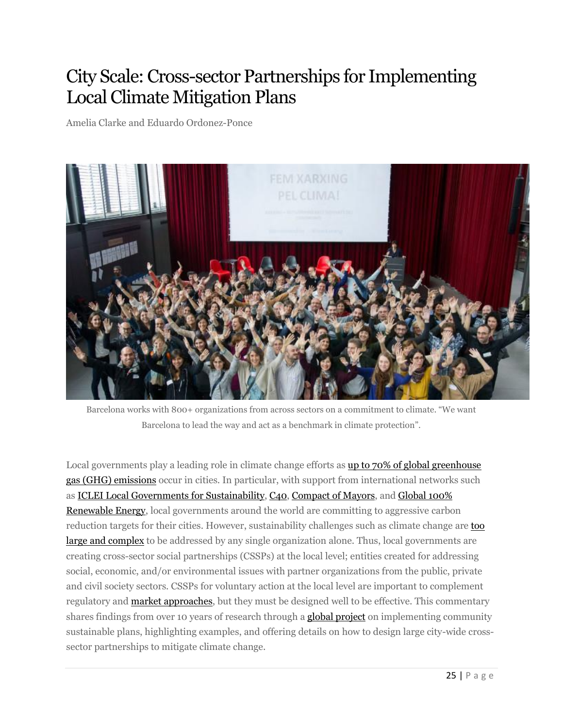## City Scale: Cross-sector Partnerships for Implementing Local Climate Mitigation Plans

Amelia Clarke and Eduardo Ordonez-Ponce



Barcelona works with 800+ organizations from across sectors on a commitment to climate. "We want Barcelona to lead the way and act as a benchmark in climate protection".

Local governments play a leading role in climate change efforts as up to 70% of global [greenhouse](https://unhabitat.org/books/cities-and-climate-change-global-report-on-human-settlements-2011/) gas (GHG) [emissions](https://unhabitat.org/books/cities-and-climate-change-global-report-on-human-settlements-2011/) occur in cities. In particular, with support from international networks such as ICLEI Local Governments for [Sustainability,](http://www.iclei.org/) [C40,](http://www.c40.org/) [Compact](https://www.compactofmayors.org/) of Mayors, and [Global](http://www.go100re.net/) 100% [Renewable](http://www.go100re.net/) Energy, local governments around the world are committing to aggressive carbon reduction targets for their cities. However, sustainability challenges such as climate change are **[too](http://onlinelibrary.wiley.com/doi/10.1111/j.1540-6210.2006.00665.x/abstract)** large and [complex](http://onlinelibrary.wiley.com/doi/10.1111/j.1540-6210.2006.00665.x/abstract) to be addressed by any single organization alone. Thus, local governments are creating cross-sector social partnerships (CSSPs) at the local level; entities created for addressing social, economic, and/or environmental issues with partner organizations from the public, private and civil society sectors. CSSPs for voluntary action at the local level are important to complement regulatory and market [approaches,](http://www.sustainableprosperity.ca/sites/default/files/publications/files/SAM.pdf) but they must be designed well to be effective. This commentary shares findings from over 10 years of research through a **global [project](https://uwaterloo.ca/implementing-sustainable-community-plans/)** on implementing community sustainable plans, highlighting examples, and offering details on how to design large city-wide crosssector partnerships to mitigate climate change.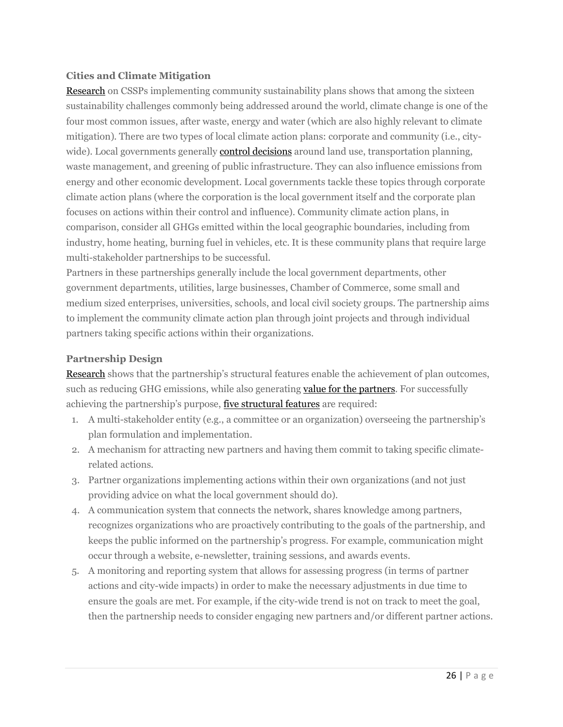## **Cities and Climate Mitigation**

[Research](https://uwaterloo.ca/implementing-sustainable-community-plans/sites/ca.implementing-sustainable-community-plans/files/uploads/files/2017_-_macdonald_et_al_-_book_chapter_0.pdf) on CSSPs implementing community sustainability plans shows that among the sixteen sustainability challenges commonly being addressed around the world, climate change is one of the four most common issues, after waste, energy and water (which are also highly relevant to climate mitigation). There are two types of local climate action plans: corporate and community (i.e., citywide). Local governments generally **control [decisions](http://doi.org/10.1080/0964401042000310178)** around land use, transportation planning, waste management, and greening of public infrastructure. They can also influence emissions from energy and other economic development. Local governments tackle these topics through corporate climate action plans (where the corporation is the local government itself and the corporate plan focuses on actions within their control and influence). Community climate action plans, in comparison, consider all GHGs emitted within the local geographic boundaries, including from industry, home heating, burning fuel in vehicles, etc. It is these community plans that require large multi-stakeholder partnerships to be successful.

Partners in these partnerships generally include the local government departments, other government departments, utilities, large businesses, Chamber of Commerce, some small and medium sized enterprises, universities, schools, and local civil society groups. The partnership aims to implement the community climate action plan through joint projects and through individual partners taking specific actions within their organizations.

## **Partnership Design**

[Research](https://doi.org/10.3917/mav.050.0153) shows that the partnership's structural features enable the achievement of plan outcomes, such as reducing GHG emissions, while also generating value for the [partners.](http://journals.sagepub.com/doi/abs/10.1177/0007650316660534?journalCode=basa) For successfully achieving the partnership's purpose, five [structural](https://fcm.ca/Documents/tools/GMF/SS_PassingGo_EN.pdf) features are required:

- 1. A multi-stakeholder entity (e.g., a committee or an organization) overseeing the partnership's plan formulation and implementation.
- 2. A mechanism for attracting new partners and having them commit to taking specific climaterelated actions.
- 3. Partner organizations implementing actions within their own organizations (and not just providing advice on what the local government should do).
- 4. A communication system that connects the network, shares knowledge among partners, recognizes organizations who are proactively contributing to the goals of the partnership, and keeps the public informed on the partnership's progress. For example, communication might occur through a website, e-newsletter, training sessions, and awards events.
- 5. A monitoring and reporting system that allows for assessing progress (in terms of partner actions and city-wide impacts) in order to make the necessary adjustments in due time to ensure the goals are met. For example, if the city-wide trend is not on track to meet the goal, then the partnership needs to consider engaging new partners and/or different partner actions.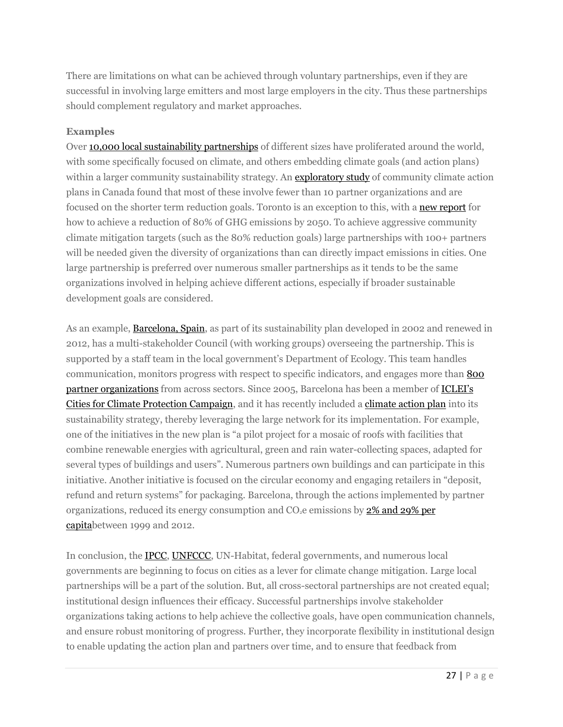There are limitations on what can be achieved through voluntary partnerships, even if they are successful in involving large emitters and most large employers in the city. Thus these partnerships should complement regulatory and market approaches.

## **Examples**

Over 10,000 local [sustainability](http://local2012.iclei.org/fileadmin/files/LS2012_GLOBAL_REVIEW_www.pdf) partnerships of different sizes have proliferated around the world, with some specifically focused on climate, and others embedding climate goals (and action plans) within a larger community sustainability strategy. An **[exploratory](https://uwspace.uwaterloo.ca/bitstream/handle/10012/11711/Wong_Krista.pdf?sequence=7&isAllowed=y) study** of community climate action plans in Canada found that most of these involve fewer than 10 partner organizations and are focused on the shorter term reduction goals. Toronto is an exception to this, with a new [report](https://www1.toronto.ca/City%20Of%20Toronto/Environment%20and%20Energy/Climate%20and%20Energy%20Goals/Transform%20TO/PDFs/REPORTS/Report%202/170421_TO_Report_final.pdf) for how to achieve a reduction of 80% of GHG emissions by 2050. To achieve aggressive community climate mitigation targets (such as the 80% reduction goals) large partnerships with 100+ partners will be needed given the diversity of organizations than can directly impact emissions in cities. One large partnership is preferred over numerous smaller partnerships as it tends to be the same organizations involved in helping achieve different actions, especially if broader sustainable development goals are considered.

As an example, **[Barcelona,](http://www.bcnsostenible.cat/en/web) Spain**, as part of its sustainability plan developed in 2002 and renewed in 2012, has a multi-stakeholder Council (with working groups) overseeing the partnership. This is supported by a staff team in the local government's Department of Ecology. This team handles communication, monitors progress with respect to specific indicators, and engages more than [800](https://uwaterloo.ca/implementing-sustainable-community-plans/sites/ca.implementing-sustainable-community-plans/files/uploads/files/estudio_internacional_de_alianzas_multisectoriales_para_la_implementacion_de_planes_comunitarios_de_sostenibilidad.pdf) partner [organizations](https://uwaterloo.ca/implementing-sustainable-community-plans/sites/ca.implementing-sustainable-community-plans/files/uploads/files/estudio_internacional_de_alianzas_multisectoriales_para_la_implementacion_de_planes_comunitarios_de_sostenibilidad.pdf) from across sectors. Since 2005, Barcelona has been a member of [ICLEI's](http://www.iclei-europe.org/members/member-in-the-spotlight/archive/barcelona/) Cities for Climate Protection [Campaign,](http://www.iclei-europe.org/members/member-in-the-spotlight/archive/barcelona/) and it has recently included a [climate](http://ajuntament.barcelona.cat/ecologiaurbana/sites/default/files/Barcelona%20Commitement%20to%20Climate.pdf) action plan into its sustainability strategy, thereby leveraging the large network for its implementation. For example, one of the initiatives in the new plan is "a pilot project for a mosaic of roofs with facilities that combine renewable energies with agricultural, green and rain water-collecting spaces, adapted for several types of buildings and users". Numerous partners own buildings and can participate in this initiative. Another initiative is focused on the circular economy and engaging retailers in "deposit, refund and return systems" for packaging. Barcelona, through the actions implemented by partner organizations, reduced its energy consumption and  $CO<sub>2</sub>e$  emissions by  $2\%$  and  $29\%$  per [capitab](http://ajuntament.barcelona.cat/ecologiaurbana/sites/default/files/Barcelona%20Commitement%20to%20Climate.pdf)etween 1999 and 2012.

In conclusion, the **[IPCC,](https://www.ipcc.ch/news_and_events/PR_citiesconference_host.shtml) UNFCCC**, UN-Habitat, federal governments, and numerous local governments are beginning to focus on cities as a lever for climate change mitigation. Large local partnerships will be a part of the solution. But, all cross-sectoral partnerships are not created equal; institutional design influences their efficacy. Successful partnerships involve stakeholder organizations taking actions to help achieve the collective goals, have open communication channels, and ensure robust monitoring of progress. Further, they incorporate flexibility in institutional design to enable updating the action plan and partners over time, and to ensure that feedback from